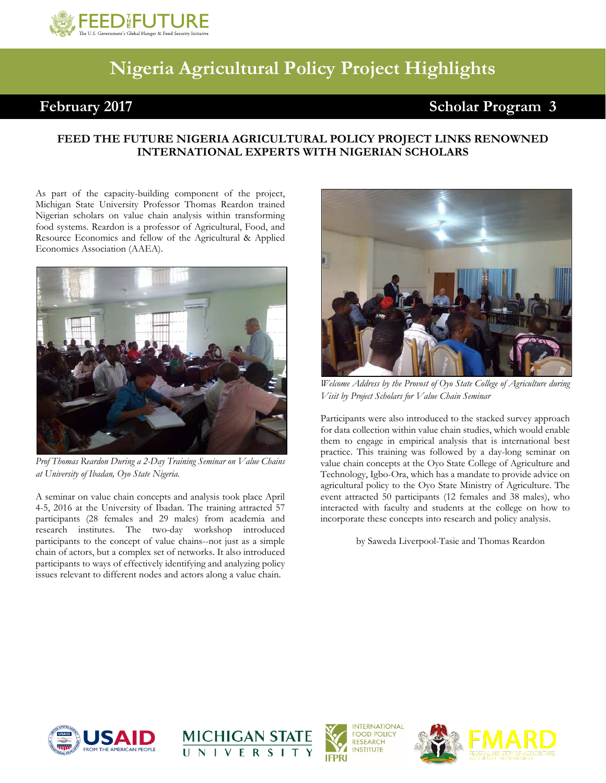

## **Nigeria Agricultural Policy Project Highlights**

## February 2017 **Scholar Program 3**

## **FEED THE FUTURE NIGERIA AGRICULTURAL POLICY PROJECT LINKS RENOWNED INTERNATIONAL EXPERTS WITH NIGERIAN SCHOLARS**

As part of the capacity-building component of the project, Michigan State University Professor Thomas Reardon trained Nigerian scholars on value chain analysis within transforming food systems. Reardon is a professor of Agricultural, Food, and Resource Economics and fellow of the Agricultural & Applied Economics Association (AAEA).



*Prof Thomas Reardon During a 2-Day Training Seminar on Value Chains at University of Ibadan, Oyo State Nigeria.*

A seminar on value chain concepts and analysis took place April 4-5, 2016 at the University of Ibadan. The training attracted 57 participants (28 females and 29 males) from academia and research institutes. The two-day workshop introduced participants to the concept of value chains--not just as a simple chain of actors, but a complex set of networks. It also introduced participants to ways of effectively identifying and analyzing policy issues relevant to different nodes and actors along a value chain.



*Welcome Address by the Provost of Oyo State College of Agriculture during Visit by Project Scholars for Value Chain Seminar*

Participants were also introduced to the stacked survey approach for data collection within value chain studies, which would enable them to engage in empirical analysis that is international best practice. This training was followed by a day-long seminar on value chain concepts at the Oyo State College of Agriculture and Technology, Igbo-Ora, which has a mandate to provide advice on agricultural policy to the Oyo State Ministry of Agriculture. The event attracted 50 participants (12 females and 38 males), who interacted with faculty and students at the college on how to incorporate these concepts into research and policy analysis.

by Saweda Liverpool-Tasie and Thomas Reardon